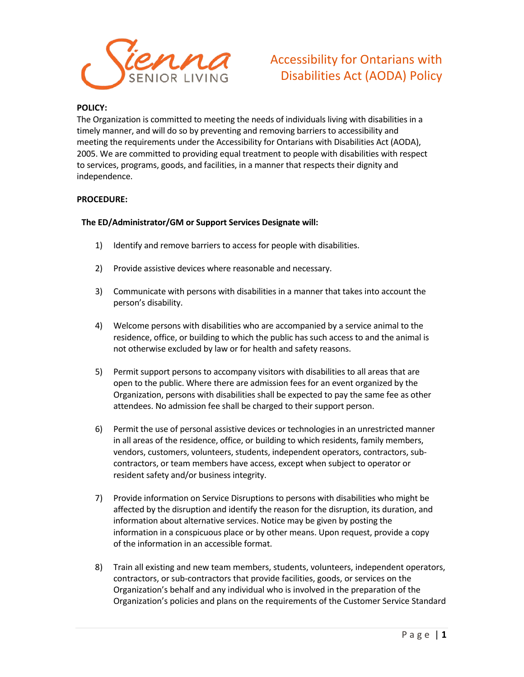

### **POLICY:**

The Organization is committed to meeting the needs of individuals living with disabilities in a timely manner, and will do so by preventing and removing barriers to accessibility and meeting the requirements under the Accessibility for Ontarians with Disabilities Act (AODA), 2005. We are committed to providing equal treatment to people with disabilities with respect to services, programs, goods, and facilities, in a manner that respects their dignity and independence.

#### **PROCEDURE:**

#### **The ED/Administrator/GM or Support Services Designate will:**

- 1) Identify and remove barriers to access for people with disabilities.
- 2) Provide assistive devices where reasonable and necessary.
- 3) Communicate with persons with disabilities in a manner that takes into account the person's disability.
- 4) Welcome persons with disabilities who are accompanied by a service animal to the residence, office, or building to which the public has such access to and the animal is not otherwise excluded by law or for health and safety reasons.
- 5) Permit support persons to accompany visitors with disabilities to all areas that are open to the public. Where there are admission fees for an event organized by the Organization, persons with disabilities shall be expected to pay the same fee as other attendees. No admission fee shall be charged to their support person.
- 6) Permit the use of personal assistive devices or technologies in an unrestricted manner in all areas of the residence, office, or building to which residents, family members, vendors, customers, volunteers, students, independent operators, contractors, subcontractors, or team members have access, except when subject to operator or resident safety and/or business integrity.
- 7) Provide information on Service Disruptions to persons with disabilities who might be affected by the disruption and identify the reason for the disruption, its duration, and information about alternative services. Notice may be given by posting the information in a conspicuous place or by other means. Upon request, provide a copy of the information in an accessible format.
- 8) Train all existing and new team members, students, volunteers, independent operators, contractors, or sub-contractors that provide facilities, goods, or services on the Organization's behalf and any individual who is involved in the preparation of the Organization's policies and plans on the requirements of the Customer Service Standard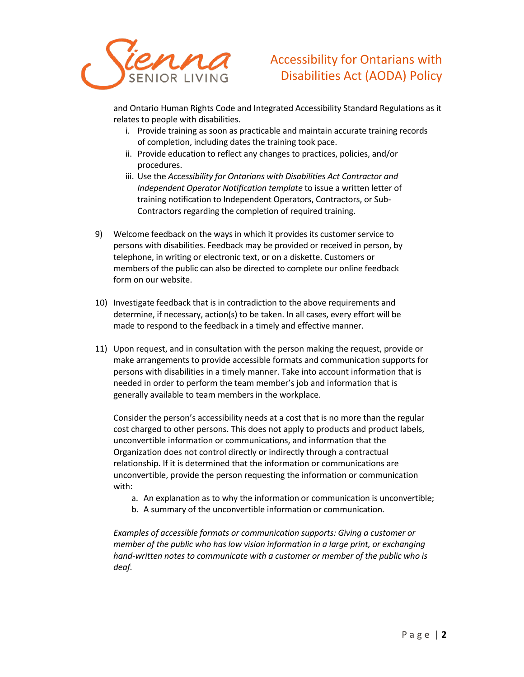

and Ontario Human Rights Code and Integrated Accessibility Standard Regulations as it relates to people with disabilities.

- i. Provide training as soon as practicable and maintain accurate training records of completion, including dates the training took pace.
- ii. Provide education to reflect any changes to practices, policies, and/or procedures.
- iii. Use the *Accessibility for Ontarians with Disabilities Act Contractor and Independent Operator Notification template* to issue a written letter of training notification to Independent Operators, Contractors, or Sub-Contractors regarding the completion of required training.
- 9) Welcome feedback on the ways in which it provides its customer service to persons with disabilities. Feedback may be provided or received in person, by telephone, in writing or electronic text, or on a diskette. Customers or members of the public can also be directed to complete our online feedback form on our website.
- 10) Investigate feedback that is in contradiction to the above requirements and determine, if necessary, action(s) to be taken. In all cases, every effort will be made to respond to the feedback in a timely and effective manner.
- 11) Upon request, and in consultation with the person making the request, provide or make arrangements to provide accessible formats and communication supports for persons with disabilities in a timely manner. Take into account information that is needed in order to perform the team member's job and information that is generally available to team members in the workplace.

Consider the person's accessibility needs at a cost that is no more than the regular cost charged to other persons. This does not apply to products and product labels, unconvertible information or communications, and information that the Organization does not control directly or indirectly through a contractual relationship. If it is determined that the information or communications are unconvertible, provide the person requesting the information or communication with:

- a. An explanation as to why the information or communication is unconvertible;
- b. A summary of the unconvertible information or communication.

*Examples of accessible formats or communication supports: Giving a customer or member of the public who has low vision information in a large print, or exchanging*  hand-written notes to communicate with a customer or member of the public who is *deaf.*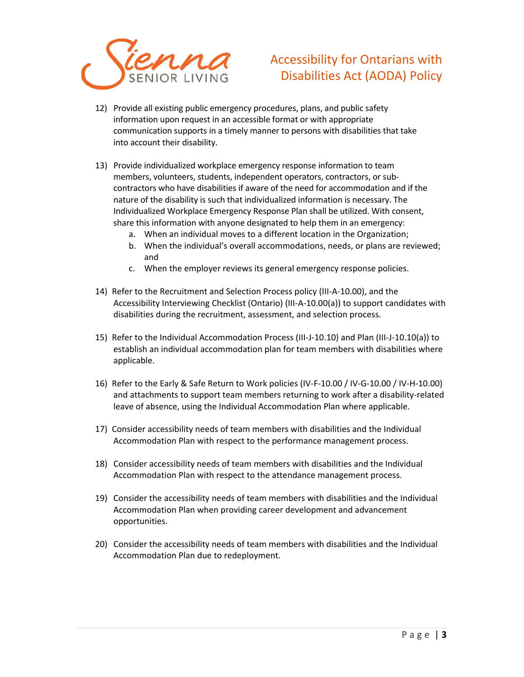

- 12) Provide all existing public emergency procedures, plans, and public safety information upon request in an accessible format or with appropriate communication supports in a timely manner to persons with disabilities that take into account their disability.
- 13) Provide individualized workplace emergency response information to team members, volunteers, students, independent operators, contractors, or subcontractors who have disabilities if aware of the need for accommodation and if the nature of the disability is such that individualized information is necessary. The Individualized Workplace Emergency Response Plan shall be utilized. With consent, share this information with anyone designated to help them in an emergency:
	- a. When an individual moves to a different location in the Organization;
	- b. When the individual's overall accommodations, needs, or plans are reviewed; and
	- c. When the employer reviews its general emergency response policies.
- 14) Refer to the Recruitment and Selection Process policy (III-A-10.00), and the Accessibility Interviewing Checklist (Ontario) (III-A-10.00(a)) to support candidates with disabilities during the recruitment, assessment, and selection process.
- 15) Refer to the Individual Accommodation Process (III-J-10.10) and Plan (III-J-10.10(a)) to establish an individual accommodation plan for team members with disabilities where applicable.
- 16) Refer to the Early & Safe Return to Work policies (IV-F-10.00 / IV-G-10.00 / IV-H-10.00) and attachments to support team members returning to work after a disability-related leave of absence, using the Individual Accommodation Plan where applicable.
- 17) Consider accessibility needs of team members with disabilities and the Individual Accommodation Plan with respect to the performance management process.
- 18) Consider accessibility needs of team members with disabilities and the Individual Accommodation Plan with respect to the attendance management process.
- 19) Consider the accessibility needs of team members with disabilities and the Individual Accommodation Plan when providing career development and advancement opportunities.
- 20) Consider the accessibility needs of team members with disabilities and the Individual Accommodation Plan due to redeployment.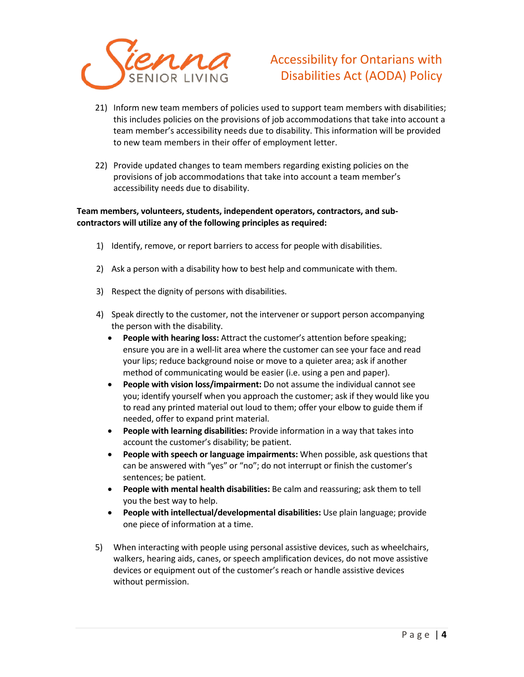

- 21) Inform new team members of policies used to support team members with disabilities; this includes policies on the provisions of job accommodations that take into account a team member's accessibility needs due to disability. This information will be provided to new team members in their offer of employment letter.
- 22) Provide updated changes to team members regarding existing policies on the provisions of job accommodations that take into account a team member's accessibility needs due to disability.

### **Team members, volunteers, students, independent operators, contractors, and subcontractors will utilize any of the following principles as required:**

- 1) Identify, remove, or report barriers to access for people with disabilities.
- 2) Ask a person with a disability how to best help and communicate with them.
- 3) Respect the dignity of persons with disabilities.
- 4) Speak directly to the customer, not the intervener or support person accompanying the person with the disability.
	- **People with hearing loss:** Attract the customer's attention before speaking; ensure you are in a well-lit area where the customer can see your face and read your lips; reduce background noise or move to a quieter area; ask if another method of communicating would be easier (i.e. using a pen and paper).
	- **People with vision loss/impairment:** Do not assume the individual cannot see you; identify yourself when you approach the customer; ask if they would like you to read any printed material out loud to them; offer your elbow to guide them if needed, offer to expand print material.
	- **People with learning disabilities:** Provide information in a way that takes into account the customer's disability; be patient.
	- **People with speech or language impairments:** When possible, ask questions that can be answered with "yes" or "no"; do not interrupt or finish the customer's sentences; be patient.
	- **People with mental health disabilities:** Be calm and reassuring; ask them to tell you the best way to help.
	- **People with intellectual/developmental disabilities:** Use plain language; provide one piece of information at a time.
- 5) When interacting with people using personal assistive devices, such as wheelchairs, walkers, hearing aids, canes, or speech amplification devices, do not move assistive devices or equipment out of the customer's reach or handle assistive devices without permission.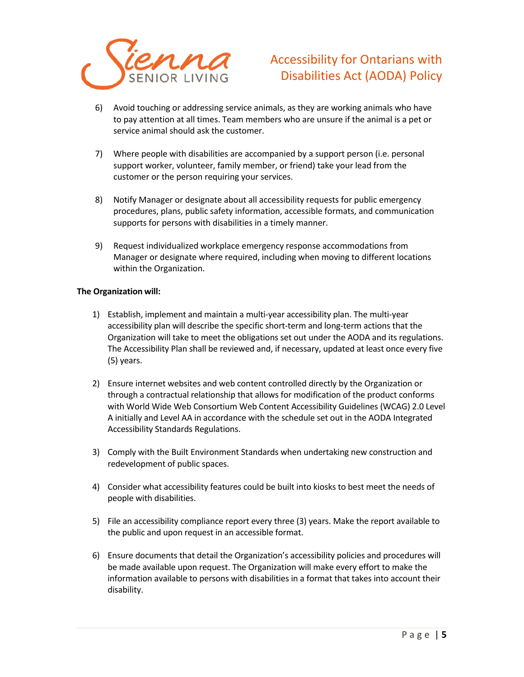

- 6) Avoid touching or addressing service animals, as they are working animals who have to pay attention at all times. Team members who are unsure if the animal is a pet or service animal should ask the customer.
- 7) Where people with disabilities are accompanied by a support person (i.e. personal support worker, volunteer, family member, or friend) take your lead from the customer or the person requiring your services.
- 8) Notify Manager or designate about all accessibility requests for public emergency procedures, plans, public safety information, accessible formats, and communication supports for persons with disabilities in a timely manner.
- 9) Request individualized workplace emergency response accommodations from Manager or designate where required, including when moving to different locations within the Organization.

### **The Organization will:**

- 1) Establish, implement and maintain a multi-year accessibility plan. The multi-year accessibility plan will describe the specific short-term and long-term actions that the Organization will take to meet the obligations set out under the AODA and its regulations. The Accessibility Plan shall be reviewed and, if necessary, updated at least once every five (5) years.
- 2) Ensure internet websites and web content controlled directly by the Organization or through a contractual relationship that allows for modification of the product conforms with World Wide Web Consortium Web Content Accessibility Guidelines (WCAG) 2.0 Level A initially and Level AA in accordance with the schedule set out in the AODA Integrated Accessibility Standards Regulations.
- 3) Comply with the Built Environment Standards when undertaking new construction and redevelopment of public spaces.
- 4) Consider what accessibility features could be built into kiosks to best meet the needs of people with disabilities.
- 5) File an accessibility compliance report every three (3) years. Make the report available to the public and upon request in an accessible format.
- 6) Ensure documents that detail the Organization's accessibility policies and procedures will be made available upon request. The Organization will make every effort to make the information available to persons with disabilities in a format that takes into account their disability.